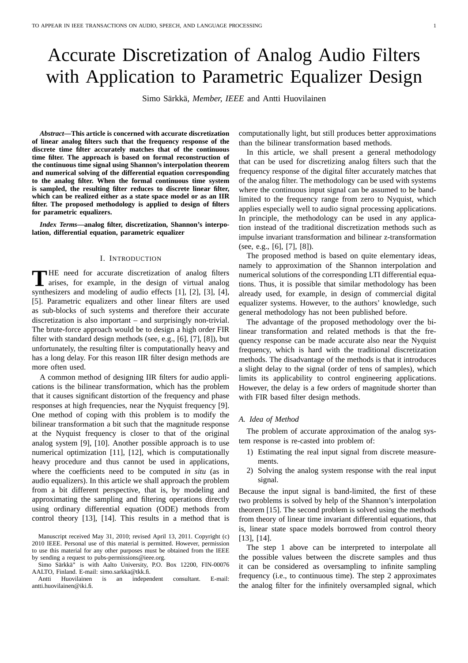# Accurate Discretization of Analog Audio Filters with Application to Parametric Equalizer Design

Simo Särkkä, Member, IEEE and Antti Huovilainen

*Abstract***—This article is concerned with accurate discretization of linear analog filters such that the frequency response of the discrete time filter accurately matches that of the continuous time filter. The approach is based on formal reconstruction of the continuous time signal using Shannon's interpolation theorem and numerical solving of the differential equation corresponding to the analog filter. When the formal continuous time system is sampled, the resulting filter reduces to discrete linear filter, which can be realized either as a state space model or as an IIR filter. The proposed methodology is applied to design of filters for parametric equalizers.**

*Index Terms***—analog filter, discretization, Shannon's interpolation, differential equation, parametric equalizer**

## I. INTRODUCTION

THE need for accurate discretization of analog filters<br>arises, for example, in the design of virtual analog **THE** need for accurate discretization of analog filters synthesizers and modeling of audio effects [1], [2], [3], [4], [5]. Parametric equalizers and other linear filters are used as sub-blocks of such systems and therefore their accurate discretization is also important – and surprisingly non-trivial. The brute-force approach would be to design a high order FIR filter with standard design methods (see, e.g., [6], [7], [8]), but unfortunately, the resulting filter is computationally heavy and has a long delay. For this reason IIR filter design methods are more often used.

A common method of designing IIR filters for audio applications is the bilinear transformation, which has the problem that it causes significant distortion of the frequency and phase responses at high frequencies, near the Nyquist frequency [9]. One method of coping with this problem is to modify the bilinear transformation a bit such that the magnitude response at the Nyquist frequency is closer to that of the original analog system [9], [10]. Another possible approach is to use numerical optimization [11], [12], which is computationally heavy procedure and thus cannot be used in applications, where the coefficients need to be computed *in situ* (as in audio equalizers). In this article we shall approach the problem from a bit different perspective, that is, by modeling and approximating the sampling and filtering operations directly using ordinary differential equation (ODE) methods from control theory [13], [14]. This results in a method that is computationally light, but still produces better approximations than the bilinear transformation based methods.

In this article, we shall present a general methodology that can be used for discretizing analog filters such that the frequency response of the digital filter accurately matches that of the analog filter. The methodology can be used with systems where the continuous input signal can be assumed to be bandlimited to the frequency range from zero to Nyquist, which applies especially well to audio signal processing applications. In principle, the methodology can be used in any application instead of the traditional discretization methods such as impulse invariant transformation and bilinear z-transformation (see, e.g., [6], [7], [8]).

The proposed method is based on quite elementary ideas, namely to approximation of the Shannon interpolation and numerical solutions of the corresponding LTI differential equations. Thus, it is possible that similar methodology has been already used, for example, in design of commercial digital equalizer systems. However, to the authors' knowledge, such general methodology has not been published before.

The advantage of the proposed methodology over the bilinear transformation and related methods is that the frequency response can be made accurate also near the Nyquist frequency, which is hard with the traditional discretization methods. The disadvantage of the methods is that it introduces a slight delay to the signal (order of tens of samples), which limits its applicability to control engineering applications. However, the delay is a few orders of magnitude shorter than with FIR based filter design methods.

# *A. Idea of Method*

The problem of accurate approximation of the analog system response is re-casted into problem of:

- 1) Estimating the real input signal from discrete measurements.
- 2) Solving the analog system response with the real input signal.

Because the input signal is band-limited, the first of these two problems is solved by help of the Shannon's interpolation theorem [15]. The second problem is solved using the methods from theory of linear time invariant differential equations, that is, linear state space models borrowed from control theory [13], [14].

The step 1 above can be interpreted to interpolate all the possible values between the discrete samples and thus it can be considered as oversampling to infinite sampling frequency (i.e., to continuous time). The step 2 approximates the analog filter for the infinitely oversampled signal, which

Manuscript received May 31, 2010; revised April 13, 2011. Copyright (c) 2010 IEEE. Personal use of this material is permitted. However, permission to use this material for any other purposes must be obtained from the IEEE by sending a request to pubs-permissions@ieee.org.

Simo Särkkä\* is with Aalto University, P.O. Box 12200, FIN-00076 AALTO, Finland. E-mail: simo.sarkka@tkk.fi.

Antti Huovilainen is an independent consultant. E-mail: antti.huovilainen@iki.fi.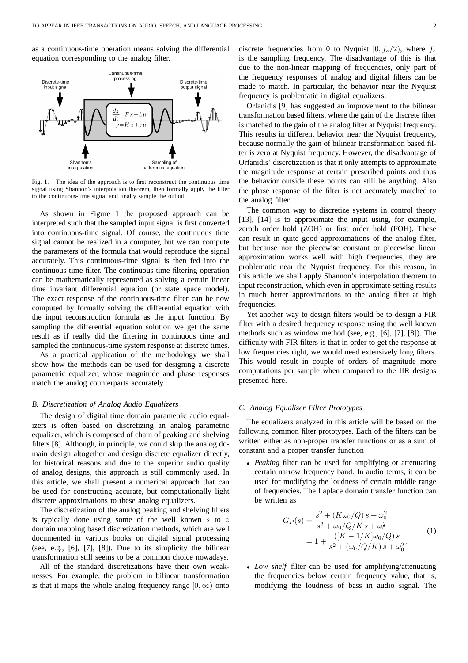as a continuous-time operation means solving the differential equation corresponding to the analog filter.



Fig. 1. The idea of the approach is to first reconstruct the continuous time signal using Shannon's interpolation theorem, then formally apply the filter to the continuous-time signal and finally sample the output.

As shown in Figure 1 the proposed approach can be interpreted such that the sampled input signal is first converted into continuous-time signal. Of course, the continuous time signal cannot be realized in a computer, but we can compute the parameters of the formula that would reproduce the signal accurately. This continuous-time signal is then fed into the continuous-time filter. The continuous-time filtering operation can be mathematically represented as solving a certain linear time invariant differential equation (or state space model). The exact response of the continuous-time filter can be now computed by formally solving the differential equation with the input reconstruction formula as the input function. By sampling the differential equation solution we get the same result as if really did the filtering in continuous time and sampled the continuous-time system response at discrete times.

As a practical application of the methodology we shall show how the methods can be used for designing a discrete parametric equalizer, whose magnitude and phase responses match the analog counterparts accurately.

#### *B. Discretization of Analog Audio Equalizers*

The design of digital time domain parametric audio equalizers is often based on discretizing an analog parametric equalizer, which is composed of chain of peaking and shelving filters [8]. Although, in principle, we could skip the analog domain design altogether and design discrete equalizer directly, for historical reasons and due to the superior audio quality of analog designs, this approach is still commonly used. In this article, we shall present a numerical approach that can be used for constructing accurate, but computationally light discrete approximations to these analog equalizers.

The discretization of the analog peaking and shelving filters is typically done using some of the well known  $s$  to  $z$ domain mapping based discretization methods, which are well documented in various books on digital signal processing (see, e.g., [6], [7], [8]). Due to its simplicity the bilinear transformation still seems to be a common choice nowadays.

All of the standard discretizations have their own weaknesses. For example, the problem in bilinear transformation is that it maps the whole analog frequency range  $[0, \infty)$  onto discrete frequencies from 0 to Nyquist  $[0, f_s/2)$ , where  $f_s$ is the sampling frequency. The disadvantage of this is that due to the non-linear mapping of frequencies, only part of the frequency responses of analog and digital filters can be made to match. In particular, the behavior near the Nyquist frequency is problematic in digital equalizers.

Orfanidis [9] has suggested an improvement to the bilinear transformation based filters, where the gain of the discrete filter is matched to the gain of the analog filter at Nyquist frequency. This results in different behavior near the Nyquist frequency, because normally the gain of bilinear transformation based filter is zero at Nyquist frequency. However, the disadvantage of Orfanidis' discretization is that it only attempts to approximate the magnitude response at certain prescribed points and thus the behavior outside these points can still be anything. Also the phase response of the filter is not accurately matched to the analog filter.

The common way to discretize systems in control theory [13], [14] is to approximate the input using, for example, zeroth order hold (ZOH) or first order hold (FOH). These can result in quite good approximations of the analog filter, but because nor the piecewise constant or piecewise linear approximation works well with high frequencies, they are problematic near the Nyquist frequency. For this reason, in this article we shall apply Shannon's interpolation theorem to input reconstruction, which even in approximate setting results in much better approximations to the analog filter at high frequencies.

Yet another way to design filters would be to design a FIR filter with a desired frequency response using the well known methods such as window method (see, e.g., [6], [7], [8]). The difficulty with FIR filters is that in order to get the response at low frequencies right, we would need extensively long filters. This would result in couple of orders of magnitude more computations per sample when compared to the IIR designs presented here.

#### *C. Analog Equalizer Filter Prototypes*

The equalizers analyzed in this article will be based on the following common filter prototypes. Each of the filters can be written either as non-proper transfer functions or as a sum of constant and a proper transfer function

• *Peaking* filter can be used for amplifying or attenuating certain narrow frequency band. In audio terms, it can be used for modifying the loudness of certain middle range of frequencies. The Laplace domain transfer function can be written as

$$
G_P(s) = \frac{s^2 + (K\omega_0/Q)s + \omega_0^2}{s^2 + \omega_0/Q/Ks + \omega_0^2}
$$
  
=  $1 + \frac{([K - 1/K]\omega_0/Q)s}{s^2 + (\omega_0/Q/K)s + \omega_0^2}$ . (1)

• *Low shelf* filter can be used for amplifying/attenuating the frequencies below certain frequency value, that is, modifying the loudness of bass in audio signal. The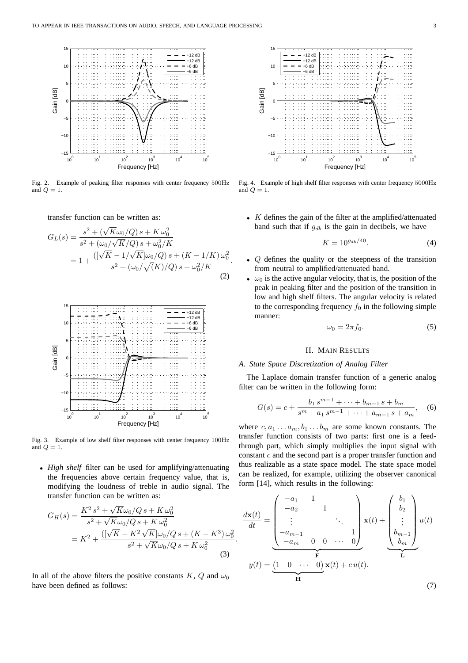

Fig. 2. Example of peaking filter responses with center frequency 500Hz and  $Q = 1$ .

transfer function can be written as:

$$
G_{L}(s) = \frac{s^{2} + (\sqrt{K}\omega_{0}/Q)s + K\omega_{0}^{2}}{s^{2} + (\omega_{0}/\sqrt{K}/Q)s + \omega_{0}^{2}/K}
$$
  
=  $1 + \frac{([\sqrt{K} - 1/\sqrt{K}]\omega_{0}/Q)s + (K - 1/K)\omega_{0}^{2}}{s^{2} + (\omega_{0}/\sqrt{(K)}/Q)s + \omega_{0}^{2}/K}$  (2)



Fig. 3. Example of low shelf filter responses with center frequency 100Hz and  $Q = 1$ .

• *High shelf* filter can be used for amplifying/attenuating the frequencies above certain frequency value, that is, modifying the loudness of treble in audio signal. The transfer function can be written as:

$$
G_H(s) = \frac{K^2 s^2 + \sqrt{K}\omega_0/Q s + K \omega_0^2}{s^2 + \sqrt{K}\omega_0/Q s + K \omega_0^2}
$$
  
=  $K^2 + \frac{([\sqrt{K} - K^2 \sqrt{K}]\omega_0/Q s + (K - K^3)\omega_0^2}{s^2 + \sqrt{K}\omega_0/Q s + K \omega_0^2}$ . (3)

In all of the above filters the positive constants K, Q and  $\omega_0$ have been defined as follows:



Fig. 4. Example of high shelf filter responses with center frequency 5000Hz and  $Q = 1$ .

•  $K$  defines the gain of the filter at the amplified/attenuated band such that if  $g_{db}$  is the gain in decibels, we have

$$
K = 10^{g_{db}/40}.\t(4)
$$

- $Q$  defines the quality or the steepness of the transition from neutral to amplified/attenuated band.
- $\omega_0$  is the active angular velocity, that is, the position of the peak in peaking filter and the position of the transition in low and high shelf filters. The angular velocity is related to the corresponding frequency  $f_0$  in the following simple manner:

$$
\omega_0 = 2\pi f_0. \tag{5}
$$

# II. MAIN RESULTS

#### *A. State Space Discretization of Analog Filter*

The Laplace domain transfer function of a generic analog filter can be written in the following form:

$$
G(s) = c + \frac{b_1 s^{m-1} + \dots + b_{m-1} s + b_m}{s^m + a_1 s^{m-1} + \dots + a_{m-1} s + a_m}, \quad (6)
$$

where  $c, a_1 \ldots a_m, b_1 \ldots b_m$  are some known constants. The transfer function consists of two parts: first one is a feedthrough part, which simply multiplies the input signal with constant  $c$  and the second part is a proper transfer function and thus realizable as a state space model. The state space model can be realized, for example, utilizing the observer canonical form [14], which results in the following:

$$
\frac{d\mathbf{x}(t)}{dt} = \begin{pmatrix} -a_1 & 1 & & & \\ -a_2 & 1 & & & \\ \vdots & & \ddots & & \\ -a_{m-1} & 0 & 0 & \cdots & 0 \end{pmatrix} \mathbf{x}(t) + \begin{pmatrix} b_1 \\ b_2 \\ \vdots \\ b_{m-1} \\ b_m \end{pmatrix} u(t)
$$

$$
y(t) = \underbrace{(1 \ 0 \ \cdots \ 0)}_{H} \mathbf{x}(t) + cu(t).
$$
(7)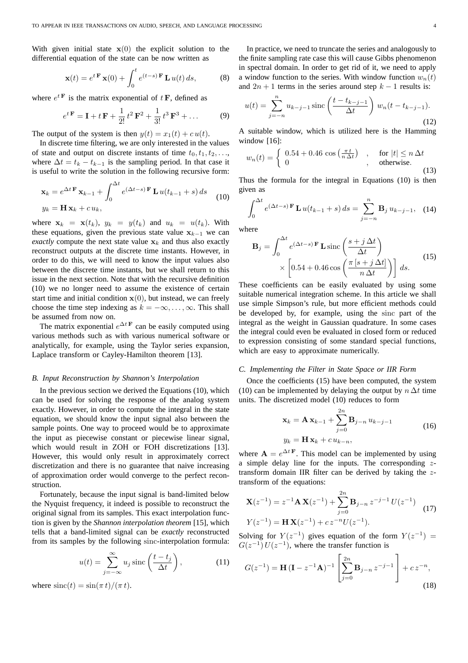With given initial state  $x(0)$  the explicit solution to the differential equation of the state can be now written as

$$
\mathbf{x}(t) = e^{t\mathbf{F}} \mathbf{x}(0) + \int_0^t e^{(t-s)\mathbf{F}} \mathbf{L} u(t) ds,
$$
 (8)

where  $e^{t\mathbf{F}}$  is the matrix exponential of  $t\mathbf{F}$ , defined as

$$
e^{t\mathbf{F}} = \mathbf{I} + t\mathbf{F} + \frac{1}{2!}t^2\mathbf{F}^2 + \frac{1}{3!}t^3\mathbf{F}^3 + \dots
$$
 (9)

The output of the system is then  $y(t) = x_1(t) + c u(t)$ .

In discrete time filtering, we are only interested in the values of state and output on discrete instants of time  $t_0, t_1, t_2, \ldots$ where  $\Delta t = t_k - t_{k-1}$  is the sampling period. In that case it is useful to write the solution in the following recursive form:

$$
\mathbf{x}_{k} = e^{\Delta t} \mathbf{F} \mathbf{x}_{k-1} + \int_{0}^{\Delta t} e^{(\Delta t - s) \mathbf{F}} \mathbf{L} u(t_{k-1} + s) ds
$$
 (10)  

$$
y_{k} = \mathbf{H} \mathbf{x}_{k} + c u_{k},
$$

where  $\mathbf{x}_k = \mathbf{x}(t_k)$ ,  $y_k = y(t_k)$  and  $u_k = u(t_k)$ . With these equations, given the previous state value  $x_{k-1}$  we can *exactly* compute the next state value  $x_k$  and thus also exactly reconstruct outputs at the discrete time instants. However, in order to do this, we will need to know the input values also between the discrete time instants, but we shall return to this issue in the next section. Note that with the recursive definition (10) we no longer need to assume the existence of certain start time and initial condition  $x(0)$ , but instead, we can freely choose the time step indexing as  $k = -\infty, \ldots, \infty$ . This shall be assumed from now on.

The matrix exponential  $e^{\Delta t}$ <sup>F</sup> can be easily computed using various methods such as with various numerical software or analytically, for example, using the Taylor series expansion, Laplace transform or Cayley-Hamilton theorem [13].

#### *B. Input Reconstruction by Shannon's Interpolation*

In the previous section we derived the Equations (10), which can be used for solving the response of the analog system exactly. However, in order to compute the integral in the state equation, we should know the input signal also between the sample points. One way to proceed would be to approximate the input as piecewise constant or piecewise linear signal, which would result in ZOH or FOH discretizations [13]. However, this would only result in approximately correct discretization and there is no guarantee that naive increasing of approximation order would converge to the perfect reconstruction.

Fortunately, because the input signal is band-limited below the Nyquist frequency, it indeed is possible to reconstruct the original signal from its samples. This exact interpolation function is given by the *Shannon interpolation theorem* [15], which tells that a band-limited signal can be *exactly* reconstructed from its samples by the following sinc-interpolation formula:

$$
u(t) = \sum_{j=-\infty}^{\infty} u_j \operatorname{sinc}\left(\frac{t - t_j}{\Delta t}\right),\tag{11}
$$

where  $\operatorname{sinc}(t) = \sin(\pi t)/(\pi t)$ .

In practice, we need to truncate the series and analogously to the finite sampling rate case this will cause Gibbs phenomenon in spectral domain. In order to get rid of it, we need to apply a window function to the series. With window function  $w_n(t)$ and  $2n + 1$  terms in the series around step  $k - 1$  results is:

$$
u(t) = \sum_{j=-n}^{n} u_{k-j-1} \operatorname{sinc}\left(\frac{t - t_{k-j-1}}{\Delta t}\right) w_n(t - t_{k-j-1}).
$$
\n(12)

A suitable window, which is utilized here is the Hamming window [16]:

$$
w_n(t) = \begin{cases} 0.54 + 0.46 \cos\left(\frac{\pi t}{n \Delta t}\right) & \text{for } |t| \le n \Delta t \\ 0 & \text{otherwise.} \end{cases} \tag{13}
$$

Thus the formula for the integral in Equations (10) is then given as

$$
\int_0^{\Delta t} e^{(\Delta t - s) \mathbf{F}} \mathbf{L} \, u(t_{k-1} + s) \, ds = \sum_{j=-n}^n \mathbf{B}_j \, u_{k-j-1}, \tag{14}
$$

where

$$
\mathbf{B}_{j} = \int_{0}^{\Delta t} e^{(\Delta t - s) \mathbf{F}} \mathbf{L} \operatorname{sinc}\left(\frac{s + j \Delta t}{\Delta t}\right) \times \left[0.54 + 0.46 \cos\left(\frac{\pi \left[s + j \Delta t\right]}{n \Delta t}\right)\right] ds.
$$
 (15)

These coefficients can be easily evaluated by using some suitable numerical integration scheme. In this article we shall use simple Simpson's rule, but more efficient methods could be developed by, for example, using the sinc part of the integral as the weight in Gaussian quadrature. In some cases the integral could even be evaluated in closed form or reduced to expression consisting of some standard special functions, which are easy to approximate numerically.

#### *C. Implementing the Filter in State Space or IIR Form*

Once the coefficients (15) have been computed, the system (10) can be implemented by delaying the output by  $n \Delta t$  time units. The discretized model (10) reduces to form

$$
\mathbf{x}_{k} = \mathbf{A}\mathbf{x}_{k-1} + \sum_{j=0}^{2n} \mathbf{B}_{j-n} u_{k-j-1}
$$
  

$$
y_{k} = \mathbf{H}\mathbf{x}_{k} + c u_{k-n},
$$
 (16)

where  $\mathbf{A} = e^{\Delta t} \mathbf{F}$ . This model can be implemented by using a simple delay line for the inputs. The corresponding  $z$ transform domain IIR filter can be derived by taking the ztransform of the equations:

$$
\mathbf{X}(z^{-1}) = z^{-1}\mathbf{A}\mathbf{X}(z^{-1}) + \sum_{j=0}^{2n} \mathbf{B}_{j-n} z^{-j-1} U(z^{-1})
$$
  
\n
$$
Y(z^{-1}) = \mathbf{H}\mathbf{X}(z^{-1}) + cz^{-n}U(z^{-1}).
$$
\n(17)

Solving for  $Y(z^{-1})$  gives equation of the form  $Y(z^{-1}) =$  $G(z^{-1})U(z^{-1})$ , where the transfer function is

$$
G(z^{-1}) = \mathbf{H} (\mathbf{I} - z^{-1} \mathbf{A})^{-1} \left[ \sum_{j=0}^{2n} \mathbf{B}_{j-n} z^{-j-1} \right] + cz^{-n},
$$
\n(18)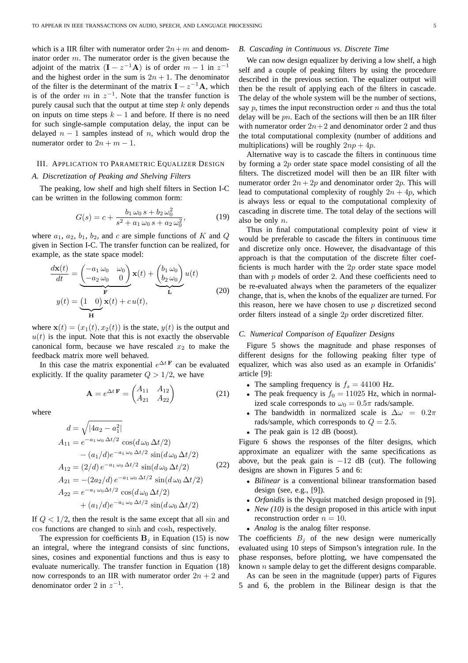which is a IIR filter with numerator order  $2n+m$  and denominator order  $m$ . The numerator order is the given because the adjoint of the matrix  $(I - z^{-1}A)$  is of order  $m - 1$  in  $z^{-1}$ and the highest order in the sum is  $2n + 1$ . The denominator of the filter is the determinant of the matrix  $\mathbf{I} - z^{-1}\mathbf{A}$ , which is of the order m in  $z^{-1}$ . Note that the transfer function is purely causal such that the output at time step  $k$  only depends on inputs on time steps  $k - 1$  and before. If there is no need for such single-sample computation delay, the input can be delayed  $n - 1$  samples instead of n, which would drop the numerator order to  $2n + m - 1$ .

# III. APPLICATION TO PARAMETRIC EQUALIZER DESIGN

#### *A. Discretization of Peaking and Shelving Filters*

The peaking, low shelf and high shelf filters in Section I-C can be written in the following common form:

$$
G(s) = c + \frac{b_1 \omega_0 s + b_2 \omega_0^2}{s^2 + a_1 \omega_0 s + a_2 \omega_0^2},
$$
(19)

where  $a_1$ ,  $a_2$ ,  $b_1$ ,  $b_2$ , and c are simple functions of K and Q given in Section I-C. The transfer function can be realized, for example, as the state space model:

$$
\frac{d\mathbf{x}(t)}{dt} = \underbrace{\begin{pmatrix} -a_1 \omega_0 & \omega_0 \\ -a_2 \omega_0 & 0 \end{pmatrix}}_{\mathbf{F}} \mathbf{x}(t) + \underbrace{\begin{pmatrix} b_1 \omega_0 \\ b_2 \omega_0 \end{pmatrix}}_{\mathbf{L}} u(t)
$$
\n
$$
y(t) = \underbrace{\begin{pmatrix} 1 & 0 \end{pmatrix}}_{\mathbf{H}} \mathbf{x}(t) + c u(t),
$$
\n(20)

where  $\mathbf{x}(t) = (x_1(t), x_2(t))$  is the state,  $y(t)$  is the output and  $u(t)$  is the input. Note that this is not exactly the observable canonical form, because we have rescaled  $x_2$  to make the feedback matrix more well behaved.

In this case the matrix exponential  $e^{\Delta t}$  **F** can be evaluated explicitly. If the quality parameter  $Q > 1/2$ , we have

$$
\mathbf{A} = e^{\Delta t}\mathbf{F} = \begin{pmatrix} A_{11} & A_{12} \\ A_{21} & A_{22} \end{pmatrix}
$$
 (21)

where

$$
d = \sqrt{|4a_2 - a_1^2|}
$$
  
\n
$$
A_{11} = e^{-a_1 \omega_0 \Delta t/2} \cos(d\omega_0 \Delta t/2)
$$
  
\n
$$
- (a_1/d)e^{-a_1 \omega_0 \Delta t/2} \sin(d\omega_0 \Delta t/2)
$$
  
\n
$$
A_{12} = (2/d) e^{-a_1 \omega_0 \Delta t/2} \sin(d\omega_0 \Delta t/2)
$$
  
\n
$$
A_{21} = -(2a_2/d) e^{-a_1 \omega_0 \Delta t/2} \sin(d\omega_0 \Delta t/2)
$$
  
\n
$$
A_{22} = e^{-a_1 \omega_0 \Delta t/2} \cos(d\omega_0 \Delta t/2)
$$
  
\n
$$
+ (a_1/d)e^{-a_1 \omega_0 \Delta t/2} \sin(d\omega_0 \Delta t/2)
$$

If  $Q < 1/2$ , then the result is the same except that all sin and cos functions are changed to sinh and cosh, respectively.

The expression for coefficients  $B_i$  in Equation (15) is now an integral, where the integrand consists of sinc functions, sines, cosines and exponential functions and thus is easy to evaluate numerically. The transfer function in Equation (18) now corresponds to an IIR with numerator order  $2n + 2$  and denominator order 2 in  $z^{-1}$ .

## *B. Cascading in Continuous vs. Discrete Time*

We can now design equalizer by deriving a low shelf, a high self and a couple of peaking filters by using the procedure described in the previous section. The equalizer output will then be the result of applying each of the filters in cascade. The delay of the whole system will be the number of sections, say  $p$ , times the input reconstruction order  $n$  and thus the total delay will be  $pn$ . Each of the sections will then be an IIR filter with numerator order  $2n+2$  and denominator order 2 and thus the total computational complexity (number of additions and multiplications) will be roughly  $2np + 4p$ .

Alternative way is to cascade the filters in continuous time by forming a  $2p$  order state space model consisting of all the filters. The discretized model will then be an IIR filter with numerator order  $2n + 2p$  and denominator order  $2p$ . This will lead to computational complexity of roughly  $2n + 4p$ , which is always less or equal to the computational complexity of cascading in discrete time. The total delay of the sections will also be only n.

Thus in final computational complexity point of view it would be preferable to cascade the filters in continuous time and discretize only once. However, the disadvantage of this approach is that the computation of the discrete filter coefficients is much harder with the 2p order state space model than with  $p$  models of order 2. And these coefficients need to be re-evaluated always when the parameters of the equalizer change, that is, when the knobs of the equalizer are turned. For this reason, here we have chosen to use  $p$  discretized second order filters instead of a single 2p order discretized filter.

## *C. Numerical Comparison of Equalizer Designs*

Figure 5 shows the magnitude and phase responses of different designs for the following peaking filter type of equalizer, which was also used as an example in Orfanidis' article [9]:

- The sampling frequency is  $f_s = 44100$  Hz.
- The peak frequency is  $f_0 = 11025$  Hz, which in normalized scale corresponds to  $\omega_0 = 0.5\pi$  rads/sample.
- The bandwidth in normalized scale is  $\Delta \omega = 0.2\pi$ rads/sample, which corresponds to  $Q = 2.5$ .
- The peak gain is 12 dB (boost).

Figure 6 shows the responses of the filter designs, which approximate an equalizer with the same specifications as above, but the peak gain is  $-12$  dB (cut). The following designs are shown in Figures 5 and 6:

- *Bilinear* is a conventional bilinear transformation based design (see, e.g., [9]).
- *Orfanidis* is the Nyquist matched design proposed in [9].
- *New (10)* is the design proposed in this article with input reconstruction order  $n = 10$ .
- *Analog* is the analog filter response.

The coefficients  $B_i$  of the new design were numerically evaluated using 10 steps of Simpson's integration rule. In the phase responses, before plotting, we have compensated the known  $n$  sample delay to get the different designs comparable.

As can be seen in the magnitude (upper) parts of Figures 5 and 6, the problem in the Bilinear design is that the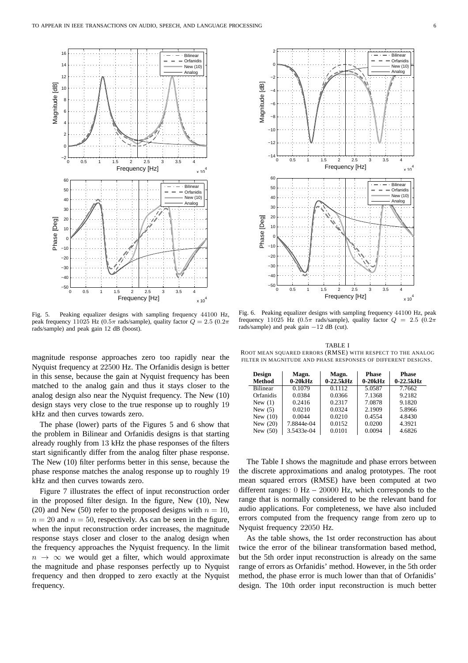

Fig. 5. Peaking equalizer designs with sampling frequency 44100 Hz, peak frequency 11025 Hz (0.5 $\pi$  rads/sample), quality factor  $Q = 2.5$  (0.2 $\pi$ rads/sample) and peak gain 12 dB (boost).

magnitude response approaches zero too rapidly near the Nyquist frequency at 22500 Hz. The Orfanidis design is better in this sense, because the gain at Nyquist frequency has been matched to the analog gain and thus it stays closer to the analog design also near the Nyquist frequency. The New (10) design stays very close to the true response up to roughly 19 kHz and then curves towards zero.

The phase (lower) parts of the Figures 5 and 6 show that the problem in Bilinear and Orfanidis designs is that starting already roughly from 13 kHz the phase responses of the filters start significantly differ from the analog filter phase response. The New (10) filter performs better in this sense, because the phase response matches the analog response up to roughly 19 kHz and then curves towards zero.

Figure 7 illustrates the effect of input reconstruction order in the proposed filter design. In the figure, New (10), New (20) and New (50) refer to the proposed designs with  $n = 10$ ,  $n = 20$  and  $n = 50$ , respectively. As can be seen in the figure, when the input reconstruction order increases, the magnitude response stays closer and closer to the analog design when the frequency approaches the Nyquist frequency. In the limit  $n \rightarrow \infty$  we would get a filter, which would approximate the magnitude and phase responses perfectly up to Nyquist frequency and then dropped to zero exactly at the Nyquist frequency.



Fig. 6. Peaking equalizer designs with sampling frequency 44100 Hz, peak frequency 11025 Hz (0.5 $\pi$  rads/sample), quality factor  $Q = 2.5$  (0.2 $\pi$ ) rads/sample) and peak gain −12 dB (cut).

TABLE I ROOT MEAN SQUARED ERRORS (RMSE) WITH RESPECT TO THE ANALOG FILTER IN MAGNITUDE AND PHASE RESPONSES OF DIFFERENT DESIGNS.

| Design<br>Method | Magn.<br>$0-20kHz$ | Magn.<br>$0-22.5$ kHz | <b>Phase</b><br>$0-20kHz$ | <b>Phase</b><br>$0-22.5$ kHz |
|------------------|--------------------|-----------------------|---------------------------|------------------------------|
| <b>Bilinear</b>  | 0.1079             | 0.1112                | 5.0587                    | 7.7662                       |
| Orfanidis        | 0.0384             | 0.0366                | 7.1368                    | 9.2182                       |
| New $(1)$        | 0.2416             | 0.2317                | 7.0878                    | 9.1820                       |
| New $(5)$        | 0.0210             | 0.0324                | 2.1909                    | 5.8966                       |
| New $(10)$       | 0.0044             | 0.0210                | 0.4554                    | 4.8430                       |
| New $(20)$       | 7.8844e-04         | 0.0152                | 0.0200                    | 4.3921                       |
| New $(50)$       | 3.5433e-04         | 0.0101                | 0.0094                    | 4.6826                       |

The Table I shows the magnitude and phase errors between the discrete approximations and analog prototypes. The root mean squared errors (RMSE) have been computed at two different ranges:  $0$  Hz  $-$  20000 Hz, which corresponds to the range that is normally considered to be the relevant band for audio applications. For completeness, we have also included errors computed from the frequency range from zero up to Nyquist frequency 22050 Hz.

As the table shows, the 1st order reconstruction has about twice the error of the bilinear transformation based method, but the 5th order input reconstruction is already on the same range of errors as Orfanidis' method. However, in the 5th order method, the phase error is much lower than that of Orfanidis' design. The 10th order input reconstruction is much better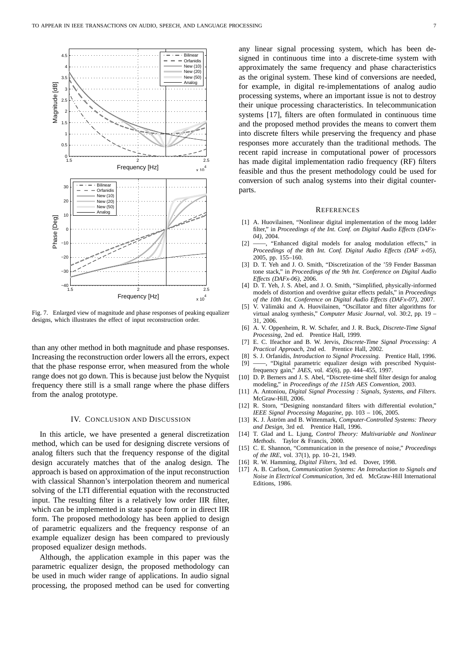

Fig. 7. Enlarged view of magnitude and phase responses of peaking equalizer designs, which illustrates the effect of input reconstruction order.

than any other method in both magnitude and phase responses. Increasing the reconstruction order lowers all the errors, expect that the phase response error, when measured from the whole range does not go down. This is because just below the Nyquist frequency there still is a small range where the phase differs from the analog prototype.

#### IV. CONCLUSION AND DISCUSSION

In this article, we have presented a general discretization method, which can be used for designing discrete versions of analog filters such that the frequency response of the digital design accurately matches that of the analog design. The approach is based on approximation of the input reconstruction with classical Shannon's interpolation theorem and numerical solving of the LTI differential equation with the reconstructed input. The resulting filter is a relatively low order IIR filter, which can be implemented in state space form or in direct IIR form. The proposed methodology has been applied to design of parametric equalizers and the frequency response of an example equalizer design has been compared to previously proposed equalizer design methods.

Although, the application example in this paper was the parametric equalizer design, the proposed methodology can be used in much wider range of applications. In audio signal processing, the proposed method can be used for converting

any linear signal processing system, which has been designed in continuous time into a discrete-time system with approximately the same frequency and phase characteristics as the original system. These kind of conversions are needed, for example, in digital re-implementations of analog audio processing systems, where an important issue is not to destroy their unique processing characteristics. In telecommunication systems [17], filters are often formulated in continuous time and the proposed method provides the means to convert them into discrete filters while preserving the frequency and phase responses more accurately than the traditional methods. The recent rapid increase in computational power of processors has made digital implementation radio frequency (RF) filters feasible and thus the present methodology could be used for conversion of such analog systems into their digital counterparts.

#### **REFERENCES**

- [1] A. Huovilainen, "Nonlinear digital implementation of the moog ladder filter," in Proceedings of the Int. Conf. on Digital Audio Effects (DAFx-*04)*, 2004.
- [2] ——, "Enhanced digital models for analog modulation effects," in *Proceedings of the 8th Int. Conf. Digital Audio Effects (DAF x-05)*, 2005, pp. 155–160.
- [3] D. T. Yeh and J. O. Smith, "Discretization of the '59 Fender Bassman tone stack," in *Proceedings of the 9th Int. Conference on Digital Audio Effects (DAFx-06)*, 2006.
- [4]  $\overline{D}$ , T. Yeh, J. S. Abel, and J. O. Smith, "Simplified, physically-informed models of distortion and overdrive guitar effects pedals," in *Proceedings of the 10th Int. Conference on Digital Audio Effects (DAFx-07)*, 2007.
- [5] V. Välimäki and A. Huovilainen, "Oscillator and filter algorithms for virtual analog synthesis," *Computer Music Journal*, vol. 30:2, pp. 19 – 31, 2006.
- [6] A. V. Oppenheim, R. W. Schafer, and J. R. Buck, *Discrete-Time Signal Processing*, 2nd ed. Prentice Hall, 1999.
- [7] E. C. Ifeachor and B. W. Jervis, *Discrete-Time Signal Processing: A Practical Approach*, 2nd ed. Prentice Hall, 2002.
- [8] S. J. Orfanidis, *Introduction to Signal Processing*. Prentice Hall, 1996. [9] ——, "Digital parametric equalizer design with prescribed Nyquistfrequency gain," *JAES*, vol. 45(6), pp. 444–455, 1997.
- [10] D. P. Berners and J. S. Abel, "Discrete-time shelf filter design for analog modeling," in *Proceedings of the 115th AES Convention*, 2003.
- [11] A. Antoniou, *Digital Signal Processing : Signals, Systems, and Filters*. McGraw-Hill, 2006.
- [12] R. Storn, "Designing nonstandard filters with differential evolution," *IEEE Signal Processing Magazine*, pp. 103 – 106, 2005.
- [13] K. J. Åström and B. Wittenmark, *Computer-Controlled Systems: Theory and Design*, 3rd ed. Prentice Hall, 1996.
- [14] T. Glad and L. Ljung, *Control Theory: Multivariable and Nonlinear Methods*. Taylor & Francis, 2000.
- [15] C. E. Shannon, "Communication in the presence of noise," *Proceedings of the IRE*, vol. 37(1), pp. 10–21, 1949.
- [16] R. W. Hamming, *Digital Filters*, 3rd ed. Dover, 1998.
- [17] A. B. Carlson, *Communication Systems: An Introduction to Signals and Noise in Electrical Communication*, 3rd ed. McGraw-Hill International Editions, 1986.